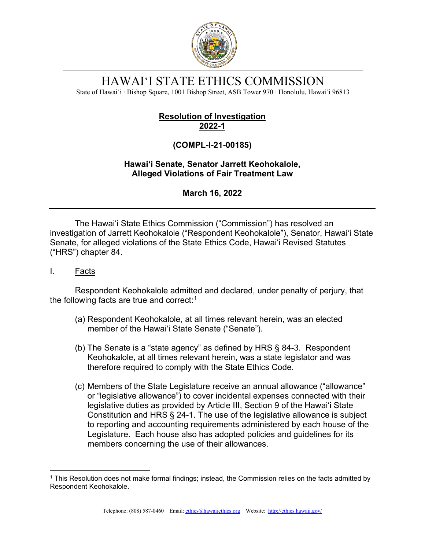

# HAWAI'I STATE ETHICS COMMISSION

State of Hawai'i ∙ Bishop Square, 1001 Bishop Street, ASB Tower 970 ∙ Honolulu, Hawai'i 96813

# **Resolution of Investigation 2022-1**

# **(COMPL-I-21-00185)**

## **Hawai'i Senate, Senator Jarrett Keohokalole, Alleged Violations of Fair Treatment Law**

**March 16, 2022**

The Hawai'i State Ethics Commission ("Commission") has resolved an investigation of Jarrett Keohokalole ("Respondent Keohokalole"), Senator, Hawai'i State Senate, for alleged violations of the State Ethics Code, Hawai'i Revised Statutes ("HRS") chapter 84.

## I. Facts

Respondent Keohokalole admitted and declared, under penalty of perjury, that the following facts are true and correct: $1$ 

- (a) Respondent Keohokalole, at all times relevant herein, was an elected member of the Hawai'i State Senate ("Senate").
- (b) The Senate is a "state agency" as defined by HRS § 84-3. Respondent Keohokalole, at all times relevant herein, was a state legislator and was therefore required to comply with the State Ethics Code.
- (c) Members of the State Legislature receive an annual allowance ("allowance" or "legislative allowance") to cover incidental expenses connected with their legislative duties as provided by Article III, Section 9 of the Hawai'i State Constitution and HRS § 24-1. The use of the legislative allowance is subject to reporting and accounting requirements administered by each house of the Legislature. Each house also has adopted policies and guidelines for its members concerning the use of their allowances.

<span id="page-0-0"></span><sup>1</sup> This Resolution does not make formal findings; instead, the Commission relies on the facts admitted by Respondent Keohokalole.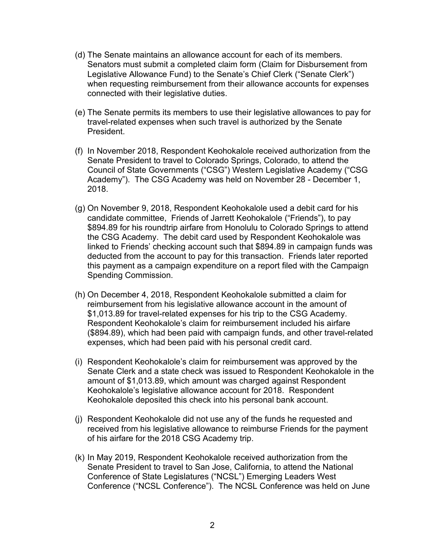- (d) The Senate maintains an allowance account for each of its members. Senators must submit a completed claim form (Claim for Disbursement from Legislative Allowance Fund) to the Senate's Chief Clerk ("Senate Clerk") when requesting reimbursement from their allowance accounts for expenses connected with their legislative duties.
- (e) The Senate permits its members to use their legislative allowances to pay for travel-related expenses when such travel is authorized by the Senate President.
- (f) In November 2018, Respondent Keohokalole received authorization from the Senate President to travel to Colorado Springs, Colorado, to attend the Council of State Governments ("CSG") Western Legislative Academy ("CSG Academy"). The CSG Academy was held on November 28 - December 1, 2018.
- (g) On November 9, 2018, Respondent Keohokalole used a debit card for his candidate committee, Friends of Jarrett Keohokalole ("Friends"), to pay \$894.89 for his roundtrip airfare from Honolulu to Colorado Springs to attend the CSG Academy. The debit card used by Respondent Keohokalole was linked to Friends' checking account such that \$894.89 in campaign funds was deducted from the account to pay for this transaction. Friends later reported this payment as a campaign expenditure on a report filed with the Campaign Spending Commission.
- (h) On December 4, 2018, Respondent Keohokalole submitted a claim for reimbursement from his legislative allowance account in the amount of \$1,013.89 for travel-related expenses for his trip to the CSG Academy. Respondent Keohokalole's claim for reimbursement included his airfare (\$894.89), which had been paid with campaign funds, and other travel-related expenses, which had been paid with his personal credit card.
- (i) Respondent Keohokalole's claim for reimbursement was approved by the Senate Clerk and a state check was issued to Respondent Keohokalole in the amount of \$1,013.89, which amount was charged against Respondent Keohokalole's legislative allowance account for 2018. Respondent Keohokalole deposited this check into his personal bank account.
- (j) Respondent Keohokalole did not use any of the funds he requested and received from his legislative allowance to reimburse Friends for the payment of his airfare for the 2018 CSG Academy trip.
- (k) In May 2019, Respondent Keohokalole received authorization from the Senate President to travel to San Jose, California, to attend the National Conference of State Legislatures ("NCSL") Emerging Leaders West Conference ("NCSL Conference"). The NCSL Conference was held on June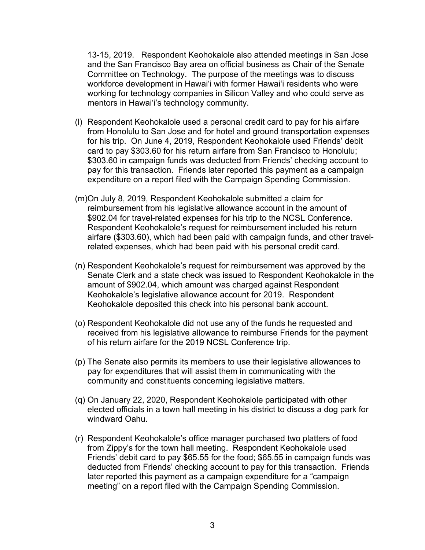13-15, 2019. Respondent Keohokalole also attended meetings in San Jose and the San Francisco Bay area on official business as Chair of the Senate Committee on Technology. The purpose of the meetings was to discuss workforce development in Hawai'i with former Hawai'i residents who were working for technology companies in Silicon Valley and who could serve as mentors in Hawai'i's technology community.

- (l) Respondent Keohokalole used a personal credit card to pay for his airfare from Honolulu to San Jose and for hotel and ground transportation expenses for his trip. On June 4, 2019, Respondent Keohokalole used Friends' debit card to pay \$303.60 for his return airfare from San Francisco to Honolulu; \$303.60 in campaign funds was deducted from Friends' checking account to pay for this transaction. Friends later reported this payment as a campaign expenditure on a report filed with the Campaign Spending Commission.
- (m)On July 8, 2019, Respondent Keohokalole submitted a claim for reimbursement from his legislative allowance account in the amount of \$902.04 for travel-related expenses for his trip to the NCSL Conference. Respondent Keohokalole's request for reimbursement included his return airfare (\$303.60), which had been paid with campaign funds, and other travelrelated expenses, which had been paid with his personal credit card.
- (n) Respondent Keohokalole's request for reimbursement was approved by the Senate Clerk and a state check was issued to Respondent Keohokalole in the amount of \$902.04, which amount was charged against Respondent Keohokalole's legislative allowance account for 2019. Respondent Keohokalole deposited this check into his personal bank account.
- (o) Respondent Keohokalole did not use any of the funds he requested and received from his legislative allowance to reimburse Friends for the payment of his return airfare for the 2019 NCSL Conference trip.
- (p) The Senate also permits its members to use their legislative allowances to pay for expenditures that will assist them in communicating with the community and constituents concerning legislative matters.
- (q) On January 22, 2020, Respondent Keohokalole participated with other elected officials in a town hall meeting in his district to discuss a dog park for windward Oahu.
- (r) Respondent Keohokalole's office manager purchased two platters of food from Zippy's for the town hall meeting. Respondent Keohokalole used Friends' debit card to pay \$65.55 for the food; \$65.55 in campaign funds was deducted from Friends' checking account to pay for this transaction. Friends later reported this payment as a campaign expenditure for a "campaign meeting" on a report filed with the Campaign Spending Commission.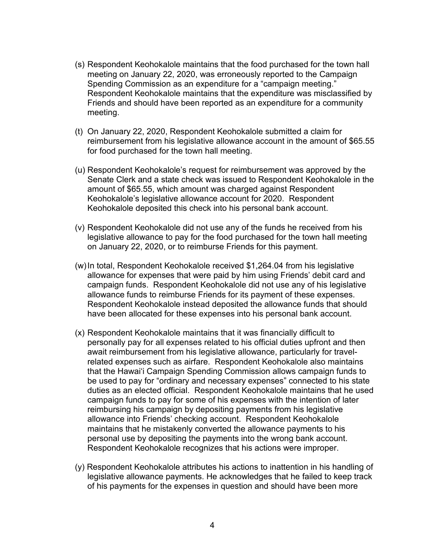- (s) Respondent Keohokalole maintains that the food purchased for the town hall meeting on January 22, 2020, was erroneously reported to the Campaign Spending Commission as an expenditure for a "campaign meeting." Respondent Keohokalole maintains that the expenditure was misclassified by Friends and should have been reported as an expenditure for a community meeting.
- (t) On January 22, 2020, Respondent Keohokalole submitted a claim for reimbursement from his legislative allowance account in the amount of \$65.55 for food purchased for the town hall meeting.
- (u) Respondent Keohokalole's request for reimbursement was approved by the Senate Clerk and a state check was issued to Respondent Keohokalole in the amount of \$65.55, which amount was charged against Respondent Keohokalole's legislative allowance account for 2020. Respondent Keohokalole deposited this check into his personal bank account.
- (v) Respondent Keohokalole did not use any of the funds he received from his legislative allowance to pay for the food purchased for the town hall meeting on January 22, 2020, or to reimburse Friends for this payment.
- (w)In total, Respondent Keohokalole received \$1,264.04 from his legislative allowance for expenses that were paid by him using Friends' debit card and campaign funds. Respondent Keohokalole did not use any of his legislative allowance funds to reimburse Friends for its payment of these expenses. Respondent Keohokalole instead deposited the allowance funds that should have been allocated for these expenses into his personal bank account.
- (x) Respondent Keohokalole maintains that it was financially difficult to personally pay for all expenses related to his official duties upfront and then await reimbursement from his legislative allowance, particularly for travelrelated expenses such as airfare. Respondent Keohokalole also maintains that the Hawai'i Campaign Spending Commission allows campaign funds to be used to pay for "ordinary and necessary expenses" connected to his state duties as an elected official. Respondent Keohokalole maintains that he used campaign funds to pay for some of his expenses with the intention of later reimbursing his campaign by depositing payments from his legislative allowance into Friends' checking account. Respondent Keohokalole maintains that he mistakenly converted the allowance payments to his personal use by depositing the payments into the wrong bank account. Respondent Keohokalole recognizes that his actions were improper.
- (y) Respondent Keohokalole attributes his actions to inattention in his handling of legislative allowance payments. He acknowledges that he failed to keep track of his payments for the expenses in question and should have been more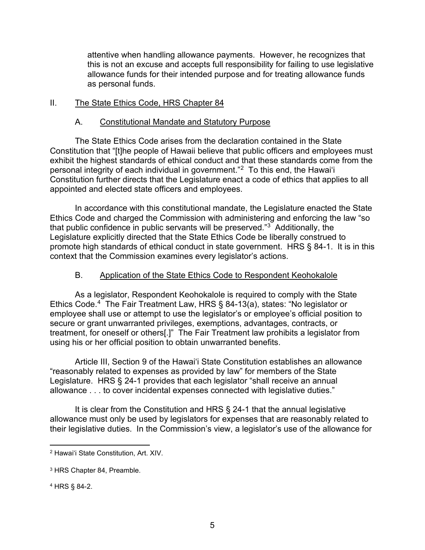attentive when handling allowance payments. However, he recognizes that this is not an excuse and accepts full responsibility for failing to use legislative allowance funds for their intended purpose and for treating allowance funds as personal funds.

### II. The State Ethics Code, HRS Chapter 84

#### A. Constitutional Mandate and Statutory Purpose

The State Ethics Code arises from the declaration contained in the State Constitution that "[t]he people of Hawaii believe that public officers and employees must exhibit the highest standards of ethical conduct and that these standards come from the personal integrity of each individual in government."[2](#page-4-0) To this end, the Hawai'i Constitution further directs that the Legislature enact a code of ethics that applies to all appointed and elected state officers and employees.

In accordance with this constitutional mandate, the Legislature enacted the State Ethics Code and charged the Commission with administering and enforcing the law "so that public confidence in public servants will be preserved."[3](#page-4-1) Additionally, the Legislature explicitly directed that the State Ethics Code be liberally construed to promote high standards of ethical conduct in state government. HRS § 84-1. It is in this context that the Commission examines every legislator's actions.

#### B. Application of the State Ethics Code to Respondent Keohokalole

As a legislator, Respondent Keohokalole is required to comply with the State Ethics Code. [4](#page-4-2) The Fair Treatment Law, HRS § 84-13(a), states: "No legislator or employee shall use or attempt to use the legislator's or employee's official position to secure or grant unwarranted privileges, exemptions, advantages, contracts, or treatment, for oneself or others[.]" The Fair Treatment law prohibits a legislator from using his or her official position to obtain unwarranted benefits.

Article III, Section 9 of the Hawai'i State Constitution establishes an allowance "reasonably related to expenses as provided by law" for members of the State Legislature. HRS § 24-1 provides that each legislator "shall receive an annual allowance . . . to cover incidental expenses connected with legislative duties."

It is clear from the Constitution and HRS § 24-1 that the annual legislative allowance must only be used by legislators for expenses that are reasonably related to their legislative duties. In the Commission's view, a legislator's use of the allowance for

<span id="page-4-2"></span><sup>4</sup> HRS § 84-2.

<span id="page-4-0"></span><sup>2</sup> Hawai'i State Constitution, Art. XIV.

<span id="page-4-1"></span><sup>3</sup> HRS Chapter 84, Preamble.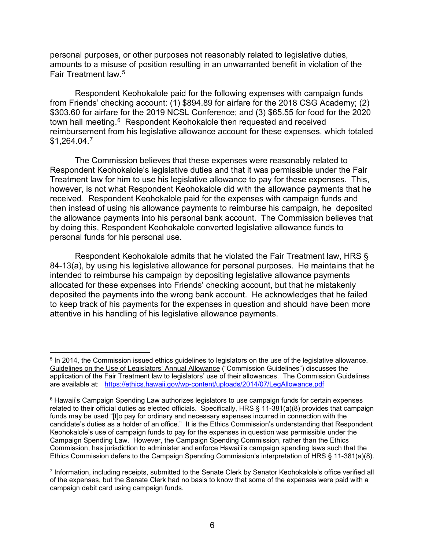personal purposes, or other purposes not reasonably related to legislative duties, amounts to a misuse of position resulting in an unwarranted benefit in violation of the Fair Treatment law. [5](#page-5-0)

Respondent Keohokalole paid for the following expenses with campaign funds from Friends' checking account: (1) \$894.89 for airfare for the 2018 CSG Academy; (2) \$303.60 for airfare for the 2019 NCSL Conference; and (3) \$65.55 for food for the 2020 town hall meeting. [6](#page-5-1) Respondent Keohokalole then requested and received reimbursement from his legislative allowance account for these expenses, which totaled \$1,264.04. [7](#page-5-2) 

The Commission believes that these expenses were reasonably related to Respondent Keohokalole's legislative duties and that it was permissible under the Fair Treatment law for him to use his legislative allowance to pay for these expenses. This, however, is not what Respondent Keohokalole did with the allowance payments that he received. Respondent Keohokalole paid for the expenses with campaign funds and then instead of using his allowance payments to reimburse his campaign, he deposited the allowance payments into his personal bank account. The Commission believes that by doing this, Respondent Keohokalole converted legislative allowance funds to personal funds for his personal use.

Respondent Keohokalole admits that he violated the Fair Treatment law, HRS § 84-13(a), by using his legislative allowance for personal purposes. He maintains that he intended to reimburse his campaign by depositing legislative allowance payments allocated for these expenses into Friends' checking account, but that he mistakenly deposited the payments into the wrong bank account. He acknowledges that he failed to keep track of his payments for the expenses in question and should have been more attentive in his handling of his legislative allowance payments.

<span id="page-5-0"></span><sup>5</sup> In 2014, the Commission issued ethics guidelines to legislators on the use of the legislative allowance. Guidelines on the Use of Legislators' Annual Allowance ("Commission Guidelines") discusses the application of the Fair Treatment law to legislators' use of their allowances. The Commission Guidelines are available at: <https://ethics.hawaii.gov/wp-content/uploads/2014/07/LegAllowance.pdf>

<span id="page-5-1"></span><sup>&</sup>lt;sup>6</sup> Hawaii's Campaign Spending Law authorizes legislators to use campaign funds for certain expenses related to their official duties as elected officials. Specifically, HRS § 11-381(a)(8) provides that campaign funds may be used "[t]o pay for ordinary and necessary expenses incurred in connection with the candidate's duties as a holder of an office." It is the Ethics Commission's understanding that Respondent Keohokalole's use of campaign funds to pay for the expenses in question was permissible under the Campaign Spending Law. However, the Campaign Spending Commission, rather than the Ethics Commission, has jurisdiction to administer and enforce Hawai'i's campaign spending laws such that the Ethics Commission defers to the Campaign Spending Commission's interpretation of HRS § 11-381(a)(8).

<span id="page-5-2"></span><sup>7</sup> Information, including receipts, submitted to the Senate Clerk by Senator Keohokalole's office verified all of the expenses, but the Senate Clerk had no basis to know that some of the expenses were paid with a campaign debit card using campaign funds.